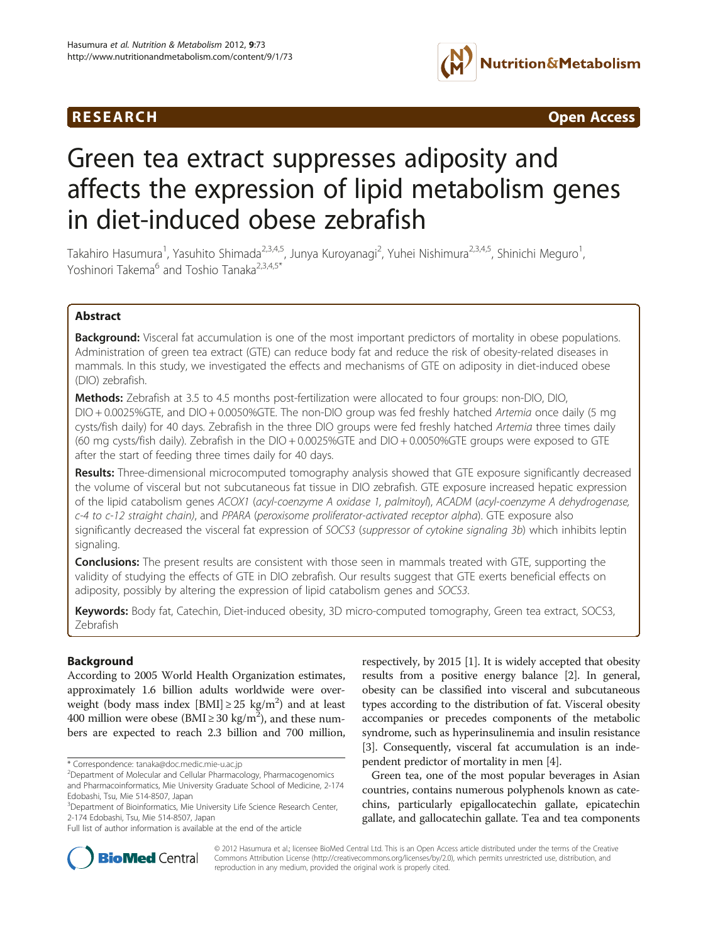## R E S EAR CH Open Access



# Green tea extract suppresses adiposity and affects the expression of lipid metabolism genes in diet-induced obese zebrafish

Takahiro Hasumura<sup>1</sup>, Yasuhito Shimada<sup>2,3,4,5</sup>, Junya Kuroyanagi<sup>2</sup>, Yuhei Nishimura<sup>2,3,4,5</sup>, Shinichi Meguro<sup>1</sup> , Yoshinori Takema<sup>6</sup> and Toshio Tanaka<sup>2,3,4,5\*</sup>

## Abstract

Background: Visceral fat accumulation is one of the most important predictors of mortality in obese populations. Administration of green tea extract (GTE) can reduce body fat and reduce the risk of obesity-related diseases in mammals. In this study, we investigated the effects and mechanisms of GTE on adiposity in diet-induced obese (DIO) zebrafish.

**Methods:** Zebrafish at 3.5 to 4.5 months post-fertilization were allocated to four groups: non-DIO, DIO, DIO + 0.0025%GTE, and DIO + 0.0050%GTE. The non-DIO group was fed freshly hatched Artemia once daily (5 mg cysts/fish daily) for 40 days. Zebrafish in the three DIO groups were fed freshly hatched Artemia three times daily (60 mg cysts/fish daily). Zebrafish in the DIO + 0.0025%GTE and DIO + 0.0050%GTE groups were exposed to GTE after the start of feeding three times daily for 40 days.

Results: Three-dimensional microcomputed tomography analysis showed that GTE exposure significantly decreased the volume of visceral but not subcutaneous fat tissue in DIO zebrafish. GTE exposure increased hepatic expression of the lipid catabolism genes ACOX1 (acyl-coenzyme A oxidase 1, palmitoyl), ACADM (acyl-coenzyme A dehydrogenase, c-4 to c-12 straight chain), and PPARA (peroxisome proliferator-activated receptor alpha). GTE exposure also significantly decreased the visceral fat expression of SOCS3 (suppressor of cytokine signaling 3b) which inhibits leptin signaling.

**Conclusions:** The present results are consistent with those seen in mammals treated with GTE, supporting the validity of studying the effects of GTE in DIO zebrafish. Our results suggest that GTE exerts beneficial effects on adiposity, possibly by altering the expression of lipid catabolism genes and SOCS3.

Keywords: Body fat, Catechin, Diet-induced obesity, 3D micro-computed tomography, Green tea extract, SOCS3, Zebrafish

## Background

According to 2005 World Health Organization estimates, approximately 1.6 billion adults worldwide were overweight (body mass index [BMI]  $\geq$  25 kg/m<sup>2</sup>) and at least 400 million were obese (BMI  $\geq$  30 kg/m<sup>2</sup>), and these numbers are expected to reach 2.3 billion and 700 million, respectively, by 2015 [\[1\]](#page-5-0). It is widely accepted that obesity results from a positive energy balance [\[2\]](#page-5-0). In general, obesity can be classified into visceral and subcutaneous types according to the distribution of fat. Visceral obesity accompanies or precedes components of the metabolic syndrome, such as hyperinsulinemia and insulin resistance [[3\]](#page-5-0). Consequently, visceral fat accumulation is an independent predictor of mortality in men [[4](#page-5-0)].

Green tea, one of the most popular beverages in Asian countries, contains numerous polyphenols known as catechins, particularly epigallocatechin gallate, epicatechin gallate, and gallocatechin gallate. Tea and tea components



© 2012 Hasumura et al.; licensee BioMed Central Ltd. This is an Open Access article distributed under the terms of the Creative Commons Attribution License [\(http://creativecommons.org/licenses/by/2.0\)](http://creativecommons.org/licenses/by/2.0), which permits unrestricted use, distribution, and reproduction in any medium, provided the original work is properly cited.

<sup>\*</sup> Correspondence: [tanaka@doc.medic.mie-u.ac.jp](mailto:tanaka@doc.medic.mie--.ac.jp) <sup>2</sup>

<sup>&</sup>lt;sup>2</sup>Department of Molecular and Cellular Pharmacology, Pharmacogenomics and Pharmacoinformatics, Mie University Graduate School of Medicine, 2-174 Edobashi, Tsu, Mie 514-8507, Japan

<sup>&</sup>lt;sup>3</sup>Department of Bioinformatics, Mie University Life Science Research Center, 2-174 Edobashi, Tsu, Mie 514-8507, Japan

Full list of author information is available at the end of the article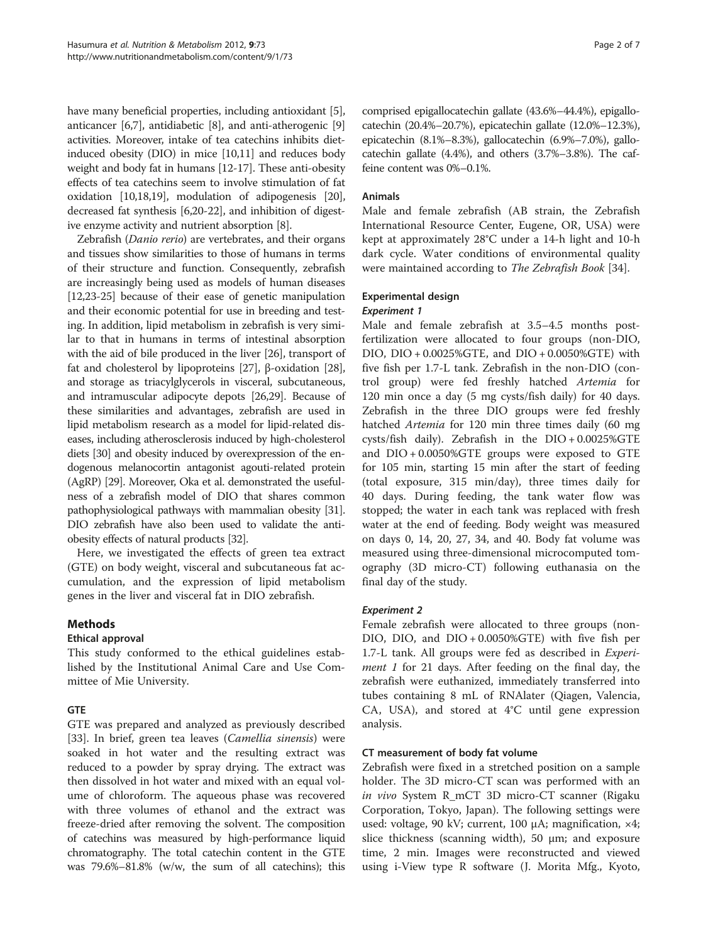have many beneficial properties, including antioxidant [[5](#page-5-0)], anticancer [[6,7\]](#page-5-0), antidiabetic [\[8](#page-5-0)], and anti-atherogenic [[9](#page-6-0)] activities. Moreover, intake of tea catechins inhibits dietinduced obesity (DIO) in mice [[10,11](#page-6-0)] and reduces body weight and body fat in humans [[12](#page-6-0)-[17](#page-6-0)]. These anti-obesity effects of tea catechins seem to involve stimulation of fat oxidation [[10](#page-6-0),[18,19\]](#page-6-0), modulation of adipogenesis [[20](#page-6-0)], decreased fat synthesis [[6,](#page-5-0)[20](#page-6-0)-[22](#page-6-0)], and inhibition of digestive enzyme activity and nutrient absorption [[8](#page-5-0)].

Zebrafish (Danio rerio) are vertebrates, and their organs and tissues show similarities to those of humans in terms of their structure and function. Consequently, zebrafish are increasingly being used as models of human diseases [[12,23](#page-6-0)-[25](#page-6-0)] because of their ease of genetic manipulation and their economic potential for use in breeding and testing. In addition, lipid metabolism in zebrafish is very similar to that in humans in terms of intestinal absorption with the aid of bile produced in the liver [\[26\]](#page-6-0), transport of fat and cholesterol by lipoproteins [\[27\]](#page-6-0), β-oxidation [[28](#page-6-0)], and storage as triacylglycerols in visceral, subcutaneous, and intramuscular adipocyte depots [\[26,29\]](#page-6-0). Because of these similarities and advantages, zebrafish are used in lipid metabolism research as a model for lipid-related diseases, including atherosclerosis induced by high-cholesterol diets [\[30](#page-6-0)] and obesity induced by overexpression of the endogenous melanocortin antagonist agouti-related protein (AgRP) [\[29](#page-6-0)]. Moreover, Oka et al. demonstrated the usefulness of a zebrafish model of DIO that shares common pathophysiological pathways with mammalian obesity [\[31](#page-6-0)]. DIO zebrafish have also been used to validate the antiobesity effects of natural products [[32](#page-6-0)].

Here, we investigated the effects of green tea extract (GTE) on body weight, visceral and subcutaneous fat accumulation, and the expression of lipid metabolism genes in the liver and visceral fat in DIO zebrafish.

## Methods

## Ethical approval

This study conformed to the ethical guidelines established by the Institutional Animal Care and Use Committee of Mie University.

## GTE

GTE was prepared and analyzed as previously described [[33\]](#page-6-0). In brief, green tea leaves (Camellia sinensis) were soaked in hot water and the resulting extract was reduced to a powder by spray drying. The extract was then dissolved in hot water and mixed with an equal volume of chloroform. The aqueous phase was recovered with three volumes of ethanol and the extract was freeze-dried after removing the solvent. The composition of catechins was measured by high-performance liquid chromatography. The total catechin content in the GTE was 79.6%–81.8% (w/w, the sum of all catechins); this comprised epigallocatechin gallate (43.6%–44.4%), epigallocatechin (20.4%–20.7%), epicatechin gallate (12.0%–12.3%), epicatechin (8.1%–8.3%), gallocatechin (6.9%–7.0%), gallocatechin gallate (4.4%), and others (3.7%–3.8%). The caffeine content was 0%–0.1%.

## Animals

Male and female zebrafish (AB strain, the Zebrafish International Resource Center, Eugene, OR, USA) were kept at approximately 28°C under a 14-h light and 10-h dark cycle. Water conditions of environmental quality were maintained according to The Zebrafish Book [[34\]](#page-6-0).

## Experimental design

## Experiment 1

Male and female zebrafish at 3.5–4.5 months postfertilization were allocated to four groups (non-DIO, DIO, DIO + 0.0025%GTE, and DIO + 0.0050%GTE) with five fish per 1.7-L tank. Zebrafish in the non-DIO (control group) were fed freshly hatched Artemia for 120 min once a day (5 mg cysts/fish daily) for 40 days. Zebrafish in the three DIO groups were fed freshly hatched Artemia for 120 min three times daily (60 mg cysts/fish daily). Zebrafish in the DIO + 0.0025%GTE and DIO + 0.0050%GTE groups were exposed to GTE for 105 min, starting 15 min after the start of feeding (total exposure, 315 min/day), three times daily for 40 days. During feeding, the tank water flow was stopped; the water in each tank was replaced with fresh water at the end of feeding. Body weight was measured on days 0, 14, 20, 27, 34, and 40. Body fat volume was measured using three-dimensional microcomputed tomography (3D micro-CT) following euthanasia on the final day of the study.

## Experiment 2

Female zebrafish were allocated to three groups (non-DIO, DIO, and DIO + 0.0050%GTE) with five fish per 1.7-L tank. All groups were fed as described in Experiment 1 for 21 days. After feeding on the final day, the zebrafish were euthanized, immediately transferred into tubes containing 8 mL of RNAlater (Qiagen, Valencia, CA, USA), and stored at 4°C until gene expression analysis.

## CT measurement of body fat volume

Zebrafish were fixed in a stretched position on a sample holder. The 3D micro-CT scan was performed with an in vivo System R\_mCT 3D micro-CT scanner (Rigaku Corporation, Tokyo, Japan). The following settings were used: voltage, 90 kV; current, 100  $\mu$ A; magnification,  $\times$ 4; slice thickness (scanning width), 50 μm; and exposure time, 2 min. Images were reconstructed and viewed using i-View type R software (J. Morita Mfg., Kyoto,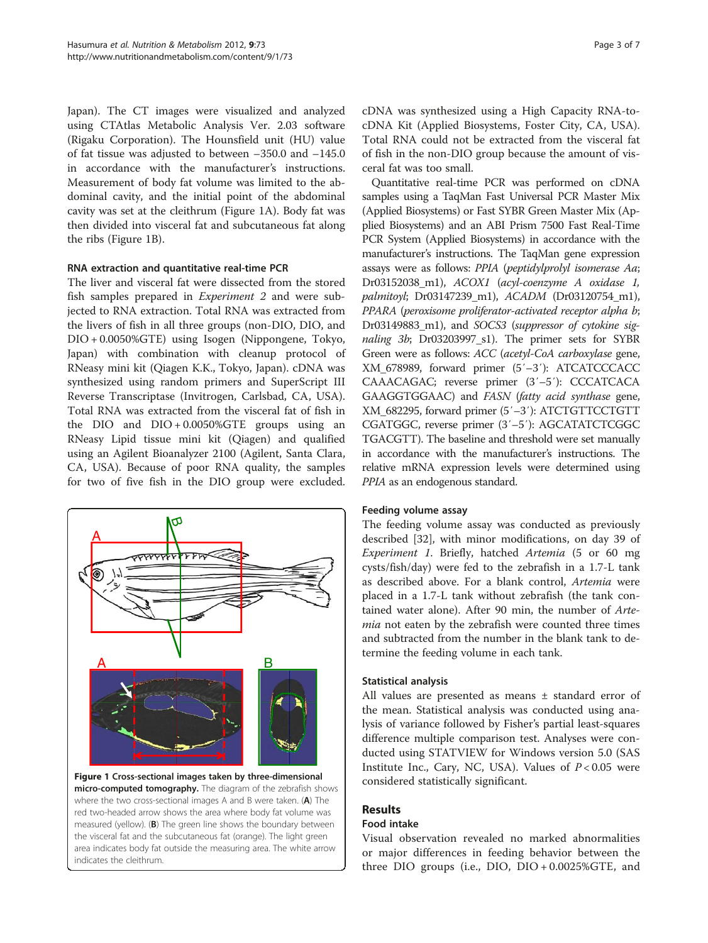Japan). The CT images were visualized and analyzed using CTAtlas Metabolic Analysis Ver. 2.03 software (Rigaku Corporation). The Hounsfield unit (HU) value of fat tissue was adjusted to between –350.0 and –145.0 in accordance with the manufacturer's instructions. Measurement of body fat volume was limited to the abdominal cavity, and the initial point of the abdominal cavity was set at the cleithrum (Figure 1A). Body fat was then divided into visceral fat and subcutaneous fat along the ribs (Figure 1B).

## RNA extraction and quantitative real-time PCR

The liver and visceral fat were dissected from the stored fish samples prepared in Experiment 2 and were subjected to RNA extraction. Total RNA was extracted from the livers of fish in all three groups (non-DIO, DIO, and DIO + 0.0050%GTE) using Isogen (Nippongene, Tokyo, Japan) with combination with cleanup protocol of RNeasy mini kit (Qiagen K.K., Tokyo, Japan). cDNA was synthesized using random primers and SuperScript III Reverse Transcriptase (Invitrogen, Carlsbad, CA, USA). Total RNA was extracted from the visceral fat of fish in the DIO and DIO + 0.0050%GTE groups using an RNeasy Lipid tissue mini kit (Qiagen) and qualified using an Agilent Bioanalyzer 2100 (Agilent, Santa Clara, CA, USA). Because of poor RNA quality, the samples for two of five fish in the DIO group were excluded.



Figure 1 Cross-sectional images taken by three-dimensional micro-computed tomography. The diagram of the zebrafish shows where the two cross-sectional images A and B were taken. (A) The red two-headed arrow shows the area where body fat volume was measured (yellow). (B) The green line shows the boundary between the visceral fat and the subcutaneous fat (orange). The light green area indicates body fat outside the measuring area. The white arrow indicates the cleithrum.

cDNA was synthesized using a High Capacity RNA-tocDNA Kit (Applied Biosystems, Foster City, CA, USA). Total RNA could not be extracted from the visceral fat of fish in the non-DIO group because the amount of visceral fat was too small.

Quantitative real-time PCR was performed on cDNA samples using a TaqMan Fast Universal PCR Master Mix (Applied Biosystems) or Fast SYBR Green Master Mix (Applied Biosystems) and an ABI Prism 7500 Fast Real-Time PCR System (Applied Biosystems) in accordance with the manufacturer's instructions. The TaqMan gene expression assays were as follows: PPIA (peptidylprolyl isomerase Aa; Dr03152038 m1), ACOX1 (acyl-coenzyme A oxidase 1, palmitoyl; Dr03147239\_m1), ACADM (Dr03120754\_m1), PPARA (peroxisome proliferator-activated receptor alpha b; Dr03149883\_m1), and SOCS3 (suppressor of cytokine signaling 3b; Dr03203997\_s1). The primer sets for SYBR Green were as follows: ACC (acetyl-CoA carboxylase gene, XM\_678989, forward primer (5′–3′): ATCATCCCACC CAAACAGAC; reverse primer (3′–5′): CCCATCACA GAAGGTGGAAC) and FASN (fatty acid synthase gene, XM\_682295, forward primer (5′–3′): ATCTGTTCCTGTT CGATGGC, reverse primer (3′–5′): AGCATATCTCGGC TGACGTT). The baseline and threshold were set manually in accordance with the manufacturer's instructions. The relative mRNA expression levels were determined using PPIA as an endogenous standard.

#### Feeding volume assay

The feeding volume assay was conducted as previously described [[32\]](#page-6-0), with minor modifications, on day 39 of Experiment 1. Briefly, hatched Artemia (5 or 60 mg cysts/fish/day) were fed to the zebrafish in a 1.7-L tank as described above. For a blank control, Artemia were placed in a 1.7-L tank without zebrafish (the tank contained water alone). After 90 min, the number of Artemia not eaten by the zebrafish were counted three times and subtracted from the number in the blank tank to determine the feeding volume in each tank.

#### Statistical analysis

All values are presented as means ± standard error of the mean. Statistical analysis was conducted using analysis of variance followed by Fisher's partial least-squares difference multiple comparison test. Analyses were conducted using STATVIEW for Windows version 5.0 (SAS Institute Inc., Cary, NC, USA). Values of  $P < 0.05$  were considered statistically significant.

## Results

## Food intake

Visual observation revealed no marked abnormalities or major differences in feeding behavior between the three DIO groups (i.e., DIO, DIO + 0.0025%GTE, and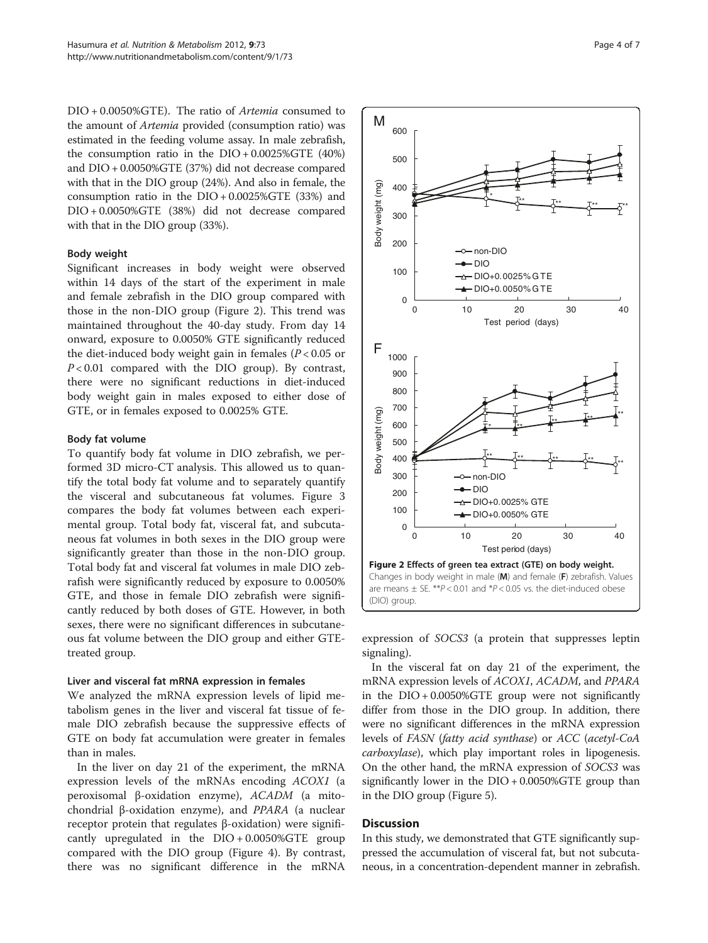DIO + 0.0050%GTE). The ratio of Artemia consumed to the amount of Artemia provided (consumption ratio) was estimated in the feeding volume assay. In male zebrafish, the consumption ratio in the DIO + 0.0025%GTE (40%) and DIO + 0.0050%GTE (37%) did not decrease compared with that in the DIO group (24%). And also in female, the consumption ratio in the  $DIO + 0.0025\% GTE$  (33%) and DIO + 0.0050%GTE (38%) did not decrease compared with that in the DIO group (33%).

#### Body weight

Significant increases in body weight were observed within 14 days of the start of the experiment in male and female zebrafish in the DIO group compared with those in the non-DIO group (Figure 2). This trend was maintained throughout the 40-day study. From day 14 onward, exposure to 0.0050% GTE significantly reduced the diet-induced body weight gain in females ( $P < 0.05$  or  $P < 0.01$  compared with the DIO group). By contrast, there were no significant reductions in diet-induced body weight gain in males exposed to either dose of GTE, or in females exposed to 0.0025% GTE.

#### Body fat volume

To quantify body fat volume in DIO zebrafish, we performed 3D micro-CT analysis. This allowed us to quantify the total body fat volume and to separately quantify the visceral and subcutaneous fat volumes. Figure [3](#page-4-0) compares the body fat volumes between each experimental group. Total body fat, visceral fat, and subcutaneous fat volumes in both sexes in the DIO group were significantly greater than those in the non-DIO group. Total body fat and visceral fat volumes in male DIO zebrafish were significantly reduced by exposure to 0.0050% GTE, and those in female DIO zebrafish were significantly reduced by both doses of GTE. However, in both sexes, there were no significant differences in subcutaneous fat volume between the DIO group and either GTEtreated group.

#### Liver and visceral fat mRNA expression in females

We analyzed the mRNA expression levels of lipid metabolism genes in the liver and visceral fat tissue of female DIO zebrafish because the suppressive effects of GTE on body fat accumulation were greater in females than in males.

In the liver on day 21 of the experiment, the mRNA expression levels of the mRNAs encoding ACOX1 (a peroxisomal β-oxidation enzyme), ACADM (a mitochondrial β-oxidation enzyme), and PPARA (a nuclear receptor protein that regulates β-oxidation) were significantly upregulated in the  $DIO + 0.0050\% GTE$  group compared with the DIO group (Figure [4\)](#page-4-0). By contrast, there was no significant difference in the mRNA



expression of SOCS3 (a protein that suppresses leptin signaling).

In the visceral fat on day 21 of the experiment, the mRNA expression levels of ACOX1, ACADM, and PPARA in the DIO + 0.0050%GTE group were not significantly differ from those in the DIO group. In addition, there were no significant differences in the mRNA expression levels of FASN (fatty acid synthase) or ACC (acetyl-CoA carboxylase), which play important roles in lipogenesis. On the other hand, the mRNA expression of SOCS3 was significantly lower in the DIO + 0.0050%GTE group than in the DIO group (Figure [5\)](#page-4-0).

## Discussion

In this study, we demonstrated that GTE significantly suppressed the accumulation of visceral fat, but not subcutaneous, in a concentration-dependent manner in zebrafish.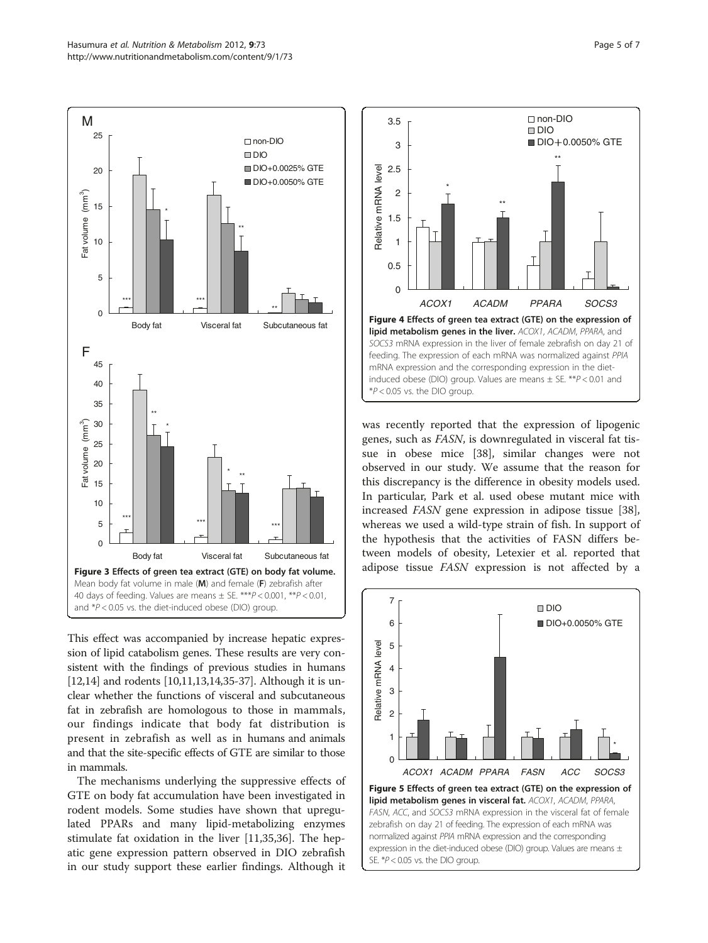<span id="page-4-0"></span>

This effect was accompanied by increase hepatic expression of lipid catabolism genes. These results are very consistent with the findings of previous studies in humans [[12,14](#page-6-0)] and rodents [[10,11,13,14,35](#page-6-0)-[37](#page-6-0)]. Although it is unclear whether the functions of visceral and subcutaneous fat in zebrafish are homologous to those in mammals, our findings indicate that body fat distribution is present in zebrafish as well as in humans and animals and that the site-specific effects of GTE are similar to those in mammals.

The mechanisms underlying the suppressive effects of GTE on body fat accumulation have been investigated in rodent models. Some studies have shown that upregulated PPARs and many lipid-metabolizing enzymes stimulate fat oxidation in the liver [[11,35,36\]](#page-6-0). The hepatic gene expression pattern observed in DIO zebrafish in our study support these earlier findings. Although it



was recently reported that the expression of lipogenic genes, such as FASN, is downregulated in visceral fat tissue in obese mice [[38\]](#page-6-0), similar changes were not observed in our study. We assume that the reason for this discrepancy is the difference in obesity models used. In particular, Park et al. used obese mutant mice with increased FASN gene expression in adipose tissue [\[38](#page-6-0)], whereas we used a wild-type strain of fish. In support of the hypothesis that the activities of FASN differs between models of obesity, Letexier et al. reported that adipose tissue FASN expression is not affected by a

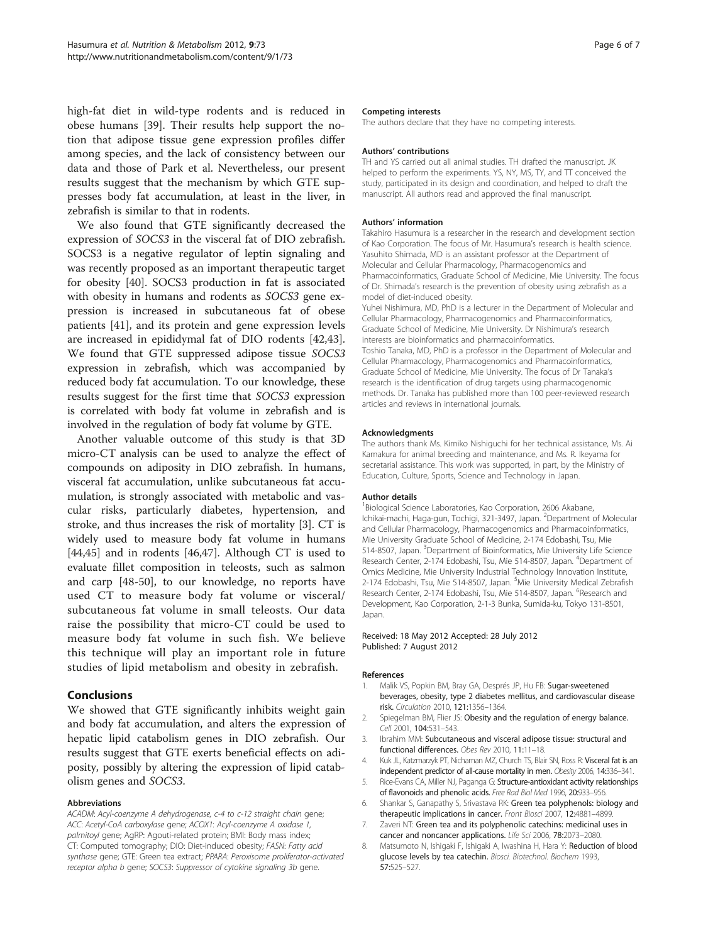<span id="page-5-0"></span>high-fat diet in wild-type rodents and is reduced in obese humans [[39\]](#page-6-0). Their results help support the notion that adipose tissue gene expression profiles differ among species, and the lack of consistency between our data and those of Park et al. Nevertheless, our present results suggest that the mechanism by which GTE suppresses body fat accumulation, at least in the liver, in zebrafish is similar to that in rodents.

We also found that GTE significantly decreased the expression of SOCS3 in the visceral fat of DIO zebrafish. SOCS3 is a negative regulator of leptin signaling and was recently proposed as an important therapeutic target for obesity [[40\]](#page-6-0). SOCS3 production in fat is associated with obesity in humans and rodents as SOCS3 gene expression is increased in subcutaneous fat of obese patients [[41\]](#page-6-0), and its protein and gene expression levels are increased in epididymal fat of DIO rodents [\[42,43](#page-6-0)]. We found that GTE suppressed adipose tissue SOCS3 expression in zebrafish, which was accompanied by reduced body fat accumulation. To our knowledge, these results suggest for the first time that SOCS3 expression is correlated with body fat volume in zebrafish and is involved in the regulation of body fat volume by GTE.

Another valuable outcome of this study is that 3D micro-CT analysis can be used to analyze the effect of compounds on adiposity in DIO zebrafish. In humans, visceral fat accumulation, unlike subcutaneous fat accumulation, is strongly associated with metabolic and vascular risks, particularly diabetes, hypertension, and stroke, and thus increases the risk of mortality [3]. CT is widely used to measure body fat volume in humans [[44,45\]](#page-6-0) and in rodents [\[46,47\]](#page-6-0). Although CT is used to evaluate fillet composition in teleosts, such as salmon and carp [\[48](#page-6-0)-[50](#page-6-0)], to our knowledge, no reports have used CT to measure body fat volume or visceral/ subcutaneous fat volume in small teleosts. Our data raise the possibility that micro-CT could be used to measure body fat volume in such fish. We believe this technique will play an important role in future studies of lipid metabolism and obesity in zebrafish.

## Conclusions

We showed that GTE significantly inhibits weight gain and body fat accumulation, and alters the expression of hepatic lipid catabolism genes in DIO zebrafish. Our results suggest that GTE exerts beneficial effects on adiposity, possibly by altering the expression of lipid catabolism genes and SOCS3.

#### Abbreviations

ACADM: Acyl-coenzyme A dehydrogenase, c-4 to c-12 straight chain gene; ACC: Acetyl-CoA carboxylase gene; ACOX1: Acyl-coenzyme A oxidase 1, palmitoyl gene; AgRP: Agouti-related protein; BMI: Body mass index; CT: Computed tomography; DIO: Diet-induced obesity; FASN: Fatty acid synthase gene; GTE: Green tea extract; PPARA: Peroxisome proliferator-activated receptor alpha b gene; SOCS3: Suppressor of cytokine signaling 3b gene.

#### Competing interests

The authors declare that they have no competing interests.

#### Authors' contributions

TH and YS carried out all animal studies. TH drafted the manuscript. JK helped to perform the experiments. YS, NY, MS, TY, and TT conceived the study, participated in its design and coordination, and helped to draft the manuscript. All authors read and approved the final manuscript.

#### Authors' information

Takahiro Hasumura is a researcher in the research and development section of Kao Corporation. The focus of Mr. Hasumura's research is health science. Yasuhito Shimada, MD is an assistant professor at the Department of Molecular and Cellular Pharmacology, Pharmacogenomics and Pharmacoinformatics, Graduate School of Medicine, Mie University. The focus of Dr. Shimada's research is the prevention of obesity using zebrafish as a model of diet-induced obesity.

Yuhei Nishimura, MD, PhD is a lecturer in the Department of Molecular and Cellular Pharmacology, Pharmacogenomics and Pharmacoinformatics, Graduate School of Medicine, Mie University. Dr Nishimura's research interests are bioinformatics and pharmacoinformatics.

Toshio Tanaka, MD, PhD is a professor in the Department of Molecular and Cellular Pharmacology, Pharmacogenomics and Pharmacoinformatics, Graduate School of Medicine, Mie University. The focus of Dr Tanaka's research is the identification of drug targets using pharmacogenomic methods. Dr. Tanaka has published more than 100 peer-reviewed research articles and reviews in international journals.

#### Acknowledgments

The authors thank Ms. Kimiko Nishiguchi for her technical assistance, Ms. Ai Kamakura for animal breeding and maintenance, and Ms. R. Ikeyama for secretarial assistance. This work was supported, in part, by the Ministry of Education, Culture, Sports, Science and Technology in Japan.

#### Author details

1 Biological Science Laboratories, Kao Corporation, 2606 Akabane, Ichikai-machi, Haga-gun, Tochigi, 321-3497, Japan. <sup>2</sup>Department of Molecular and Cellular Pharmacology, Pharmacogenomics and Pharmacoinformatics, Mie University Graduate School of Medicine, 2-174 Edobashi, Tsu, Mie 514-8507, Japan. <sup>3</sup>Department of Bioinformatics, Mie University Life Science Research Center, 2-174 Edobashi, Tsu, Mie 514-8507, Japan. <sup>4</sup>Department of Omics Medicine, Mie University Industrial Technology Innovation Institute, 2-174 Edobashi, Tsu, Mie 514-8507, Japan. <sup>5</sup>Mie University Medical Zebrafish Research Center, 2-174 Edobashi, Tsu, Mie 514-8507, Japan. <sup>6</sup>Research and Development, Kao Corporation, 2-1-3 Bunka, Sumida-ku, Tokyo 131-8501, Japan.

#### Received: 18 May 2012 Accepted: 28 July 2012 Published: 7 August 2012

#### References

- 1. Malik VS, Popkin BM, Bray GA, Després JP, Hu FB: Sugar-sweetened beverages, obesity, type 2 diabetes mellitus, and cardiovascular disease risk. Circulation 2010, 121:1356–1364.
- 2. Spiegelman BM, Flier JS: Obesity and the regulation of energy balance. Cell 2001, 104:531-543.
- 3. Ibrahim MM: Subcutaneous and visceral adipose tissue: structural and functional differences. Obes Rev 2010, 11:11–18.
- 4. Kuk JL, Katzmarzyk PT, Nichaman MZ, Church TS, Blair SN, Ross R: Visceral fat is an independent predictor of all-cause mortality in men. Obesity 2006, 14:336–341.
- 5. Rice-Evans CA, Miller NJ, Paganga G: Structure-antioxidant activity relationships of flavonoids and phenolic acids. Free Rad Biol Med 1996, 20:933–956.
- 6. Shankar S, Ganapathy S, Srivastava RK: Green tea polyphenols: biology and therapeutic implications in cancer. Front Biosci 2007, 12:4881–4899.
- 7. Zaveri NT: Green tea and its polyphenolic catechins: medicinal uses in cancer and noncancer applications. Life Sci 2006, 78:2073–2080.
- 8. Matsumoto N, Ishigaki F, Ishigaki A, Iwashina H, Hara Y: Reduction of blood glucose levels by tea catechin. Biosci. Biotechnol. Biochem 1993, 57:525–527.